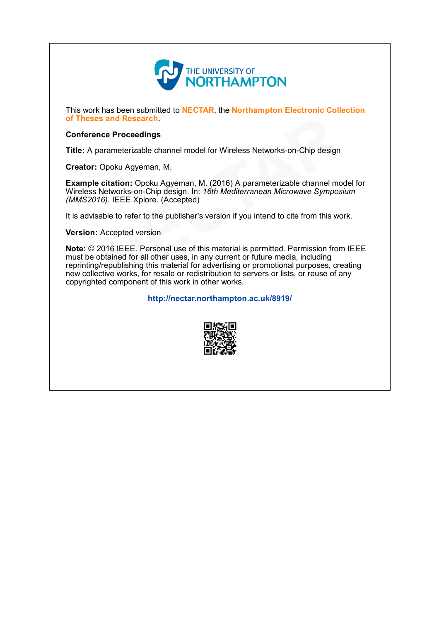

This work has been submitted to NECTAR, the Northampton Electronic Collection of Theses and Research.

## Conference Proceedings

Title: A parameterizable channel model for Wireless Networks-on-Chip design

Creator: Opoku Agyeman, M.

Example citation: Opoku Agyeman, M. (2016) A parameterizable channel model for Wireless Networks-on-Chip design. In: 16th Mediterranean Microwave Symposium (MMS2016). IEEE Xplore. (Accepted)

It is advisable to refer to the publisher's version if you intend to cite from this work.

Version: Accepted version

Note: © 2016 IEEE. Personal use of this material is permitted. Permission from IEEE must be obtained for all other uses, in any current or future media, including reprinting/republishing this material for advertising or promotional purposes, creating new collective works, for resale or redistribution to servers or lists, or reuse of any copyrighted component of this work in other works. of Theses and Research.<br>
Conference Proceedings<br>
Title: A parameterizable channel model for Wireless Networks-on-Chip design<br>
Creator: Opoku Agyeman, M.<br>
Example citation: Opoku Agyeman, M. (2016) A parameterizable channel

<http://nectar.northampton.ac.uk/8919/>

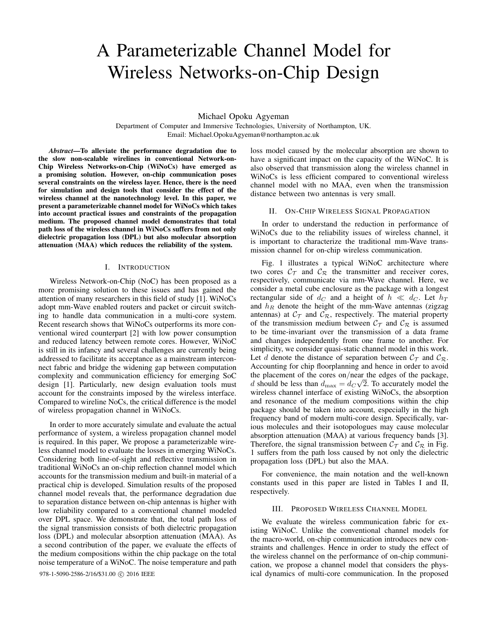# A Parameterizable Channel Model for Wireless Networks-on-Chip Design

Michael Opoku Agyeman

Department of Computer and Immersive Technologies, University of Northampton, UK. Email: Michael.OpokuAgyeman@northampton.ac.uk

*Abstract*—To alleviate the performance degradation due to the slow non-scalable wirelines in conventional Network-on-Chip Wireless Networks-on-Chip (WiNoCs) have emerged as a promising solution. However, on-chip communication poses several constraints on the wireless layer. Hence, there is the need for simulation and design tools that consider the effect of the wireless channel at the nanotechnology level. In this paper, we present a parameterizable channel model for WiNoCs which takes into account practical issues and constraints of the propagation medium. The proposed channel model demonstrates that total path loss of the wireless channel in WiNoCs suffers from not only dielectric propagation loss (DPL) but also molecular absorption attenuation (MAA) which reduces the reliability of the system.

#### I. INTRODUCTION

Wireless Network-on-Chip (NoC) has been proposed as a more promising solution to these issues and has gained the attention of many researchers in this field of study [1]. WiNoCs adopt mm-Wave enabled routers and packet or circuit switching to handle data communication in a multi-core system. Recent research shows that WiNoCs outperforms its more conventional wired counterpart [2] with low power consumption and reduced latency between remote cores. However, WiNoC is still in its infancy and several challenges are currently being addressed to facilitate its acceptance as a mainstream interconnect fabric and bridge the widening gap between computation complexity and communication efficiency for emerging SoC design [1]. Particularly, new design evaluation tools must account for the constraints imposed by the wireless interface. Compared to wireline NoCs, the critical difference is the model of wireless propagation channel in WiNoCs.

In order to more accurately simulate and evaluate the actual performance of system, a wireless propagation channel model is required. In this paper, We propose a parameterizable wireless channel model to evaluate the losses in emerging WiNoCs. Considering both line-of-sight and reflective transmission in traditional WiNoCs an on-chip reflection channel model which accounts for the transmission medium and built-in material of a practical chip is developed. Simulation results of the proposed channel model reveals that, the performance degradation due to separation distance between on-chip antennas is higher with low reliability compared to a conventional channel modeled over DPL space. We demonstrate that, the total path loss of the signal transmission consists of both dielectric propagation loss (DPL) and molecular absorption attenuation (MAA). As a second contribution of the paper, we evaluate the effects of the medium compositions within the chip package on the total noise temperature of a WiNoC. The noise temperature and path

loss model caused by the molecular absorption are shown to have a significant impact on the capacity of the WiNoC. It is also observed that transmission along the wireless channel in WiNoCs is less efficient compared to conventional wireless channel model with no MAA, even when the transmission distance between two antennas is very small.

#### II. ON-CHIP WIRELESS SIGNAL PROPAGATION

In order to understand the reduction in performance of WiNoCs due to the reliability issues of wireless channel, it is important to characterize the traditional mm-Wave transmission channel for on-chip wireless communication.

Fig. 1 illustrates a typical WiNoC architecture where two cores  $C_{\mathcal{T}}$  and  $C_{\mathcal{R}}$  the transmitter and receiver cores, respectively, communicate via mm-Wave channel. Here, we consider a metal cube enclosure as the package with a longest rectangular side of  $d_C$  and a height of  $h \ll d_C$ . Let  $h_T$ and  $h_R$  denote the height of the mm-Wave antennas (zigzag antennas) at  $C_{\mathcal{T}}$  and  $C_{\mathcal{R}}$ , respectively. The material property of the transmission medium between  $\mathcal{C}_{\mathcal{T}}$  and  $\mathcal{C}_{\mathcal{R}}$  is assumed to be time-invariant over the transmission of a data frame and changes independently from one frame to another. For simplicity, we consider quasi-static channel model in this work. Let d denote the distance of separation between  $C_{\mathcal{T}}$  and  $C_{\mathcal{R}}$ . Accounting for chip floorplanning and hence in order to avoid the placement of the cores on/near the edges of the package, d should be less than  $d_{\text{max}} = d_C \sqrt{2}$ . To accurately model the wireless channel interface of existing WiNoCs, the absorption and resonance of the medium compositions within the chip package should be taken into account, especially in the high frequency band of modern multi-core design. Specifically, various molecules and their isotopologues may cause molecular absorption attenuation (MAA) at various frequency bands [3]. Therefore, the signal transmission between  $C_{\mathcal{T}}$  and  $C_{\mathcal{R}}$  in Fig. 1 suffers from the path loss caused by not only the dielectric propagation loss (DPL) but also the MAA.

For convenience, the main notation and the well-known constants used in this paper are listed in Tables I and II, respectively.

### III. PROPOSED WIRELESS CHANNEL MODEL

We evaluate the wireless communication fabric for existing WiNoC. Unlike the conventional channel models for the macro-world, on-chip communication introduces new constraints and challenges. Hence in order to study the effect of the wireless channel on the performance of on-chip communication, we propose a channel model that considers the phys-978-1-5090-2586-2/16/\$31.00  $\odot$  2016 IEEE ical dynamics of multi-core communication. In the proposed